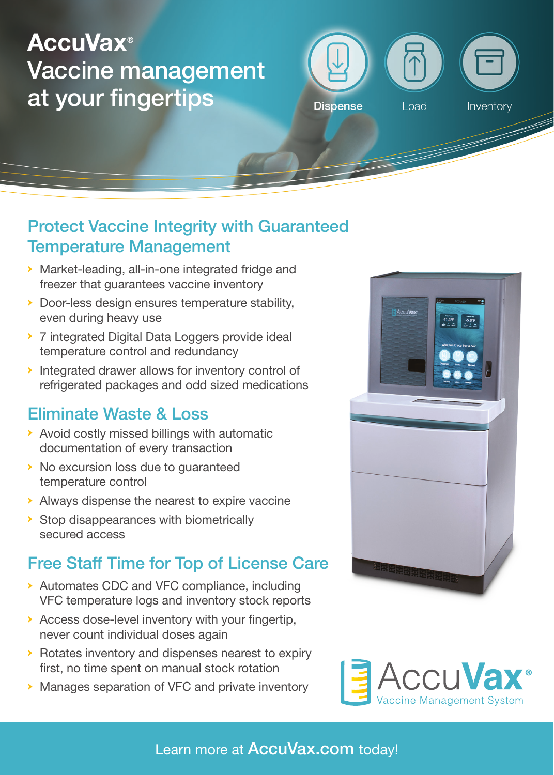# AccuVax® Vaccine management at your fingertips



### Protect Vaccine Integrity with Guaranteed Temperature Management

- **→** Market-leading, all-in-one integrated fridge and freezer that quarantees vaccine inventory
- **→** Door-less design ensures temperature stability, even during heavy use
- **→** 7 integrated Digital Data Loggers provide ideal temperature control and redundancy
- **→** Integrated drawer allows for inventory control of refrigerated packages and odd sized medications

### Eliminate Waste & Loss

- **→** Avoid costly missed billings with automatic documentation of every transaction
- **→** No excursion loss due to guaranteed temperature control
- **→** Always dispense the nearest to expire vaccine
- **→** Stop disappearances with biometrically secured access

### Free Staff Time for Top of License Care

- **→** Automates CDC and VFC compliance, including VFC temperature logs and inventory stock reports
- **→** Access dose-level inventory with your fingertip, never count individual doses again
- **→** Rotates inventory and dispenses nearest to expiry first, no time spent on manual stock rotation
- **→** Manages separation of VFC and private inventory





Learn more at **AccuVax.com** today!